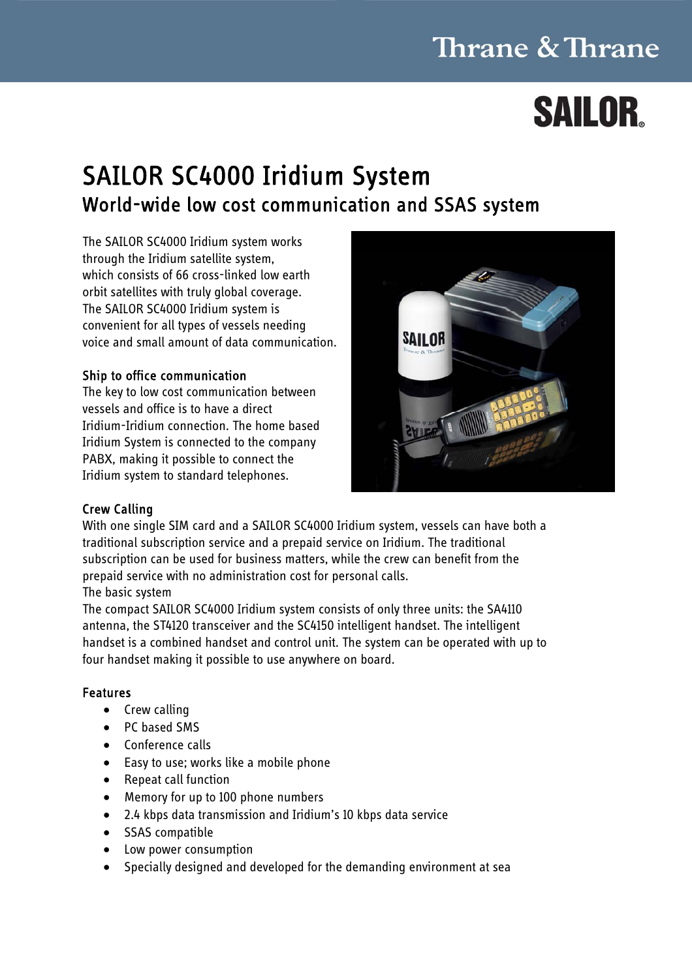## **Thrane & Thrane**

# **SAILOR**

### SAILOR SC4000 Iridium System World-wide low cost communication and SSAS system

The SAILOR SC4000 Iridium system works through the Iridium satellite system, which consists of 66 cross-linked low earth orbit satellites with truly global coverage. The SAILOR SC4000 Iridium system is convenient for all types of vessels needing voice and small amount of data communication.

### Ship to office communication

The key to low cost communication between vessels and office is to have a direct Iridium-Iridium connection. The home based Iridium System is connected to the company PABX, making it possible to connect the Iridium system to standard telephones.



### Crew Calling

With one single SIM card and a SAILOR SC4000 Iridium system, vessels can have both a traditional subscription service and a prepaid service on Iridium. The traditional subscription can be used for business matters, while the crew can benefit from the prepaid service with no administration cost for personal calls. The basic system

The compact SAILOR SC4000 Iridium system consists of only three units: the SA4110 antenna, the ST4120 transceiver and the SC4150 intelligent handset. The intelligent handset is a combined handset and control unit. The system can be operated with up to four handset making it possible to use anywhere on board.

### Features

- Crew calling
- PC based SMS
- Conference calls
- Easy to use; works like a mobile phone
- Repeat call function
- Memory for up to 100 phone numbers
- 2.4 kbps data transmission and Iridium's 10 kbps data service
- SSAS compatible
- Low power consumption
- Specially designed and developed for the demanding environment at sea